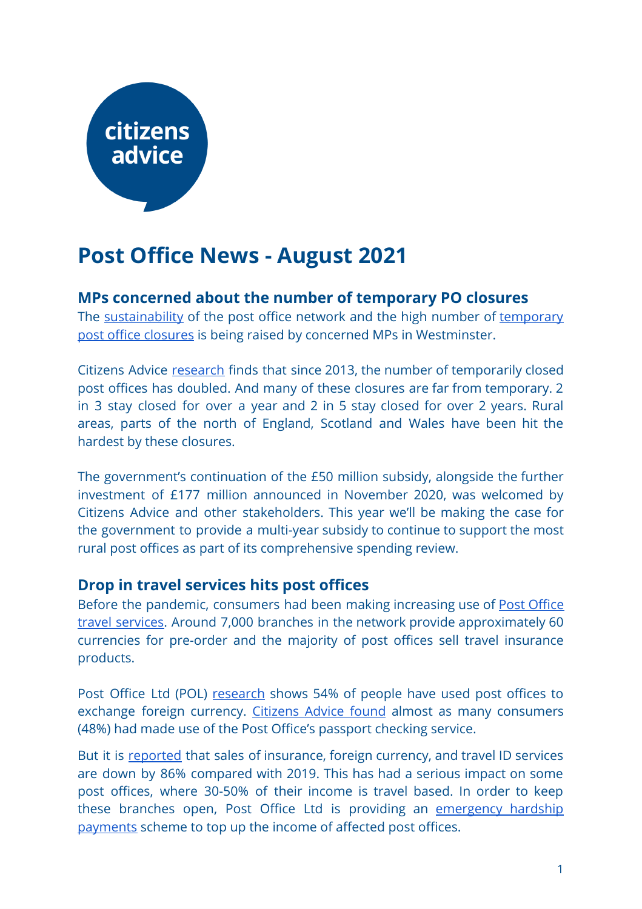# citizens advice

# **Post Office News - August 2021**

# **MPs concerned about the number of temporary PO closures**

The [sustainability](https://questions-statements.parliament.uk/written-questions/detail/2021-07-06/902301) of the post office network and the high number of [temporary](https://hansard.parliament.uk/commons/2021-07-08/debates/6C9C50BE-EA9B-4BB1-8596-A7D021229260/BusinessOfTheHouse) post office [closures](https://hansard.parliament.uk/commons/2021-07-08/debates/6C9C50BE-EA9B-4BB1-8596-A7D021229260/BusinessOfTheHouse) is being raised by concerned MPs in Westminster.

Citizens Advice [research](https://www.citizensadvice.org.uk/Global/CitizensAdvice/Post%20Ooffice%20Investment%20at%20Spending%20Review%202020.pdf) finds that since 2013, the number of temporarily closed post offices has doubled. And many of these closures are far from temporary. 2 in 3 stay closed for over a year and 2 in 5 stay closed for over 2 years. Rural areas, parts of the north of England, Scotland and Wales have been hit the hardest by these closures.

The government's continuation of the £50 million subsidy, alongside the further investment of £177 million announced in November 2020, was welcomed by Citizens Advice and other stakeholders. This year we'll be making the case for the government to provide a multi-year subsidy to continue to support the most rural post offices as part of its comprehensive spending review.

#### **Drop in travel services hits post offices**

Before the pandemic, consumers had been making increasing use of Post [Office](https://www.postoffice.co.uk/travel) travel [services.](https://www.postoffice.co.uk/travel) Around 7,000 branches in the network provide approximately 60 currencies for pre-order and the majority of post offices sell travel insurance products.

Post Office Ltd (POL) [research](https://postofficeimpact.co.uk/) shows 54% of people have used post offices to exchange foreign currency. [Citizens](https://www.citizensadvice.org.uk/about-us/our-work/policy/policy-research-topics/post-policy-research-and-consultation-responses/post-policy-research/consumer-use-of-post-offices/) Advice found almost as many consumers (48%) had made use of the Post Office's passport checking service.

But it is [reported](https://www.betterretailing.com/news/exclusive-post-office-launches-emergency-hardship-payments-for-stores-hit-by-travel-business-collapse/) that sales of insurance, foreign currency, and travel ID services are down by 86% compared with 2019. This has had a serious impact on some post offices, where 30-50% of their income is travel based. In order to keep these branches open, Post Office Ltd is providing an [emergency](https://corporate.postoffice.co.uk/our-media-centre#/pressreleases/post-office-sets-up-travel-support-scheme-for-branches-impacted-by-continuing-travel-uncertainty-3117619) hardship [payments](https://corporate.postoffice.co.uk/our-media-centre#/pressreleases/post-office-sets-up-travel-support-scheme-for-branches-impacted-by-continuing-travel-uncertainty-3117619) scheme to top up the income of affected post offices.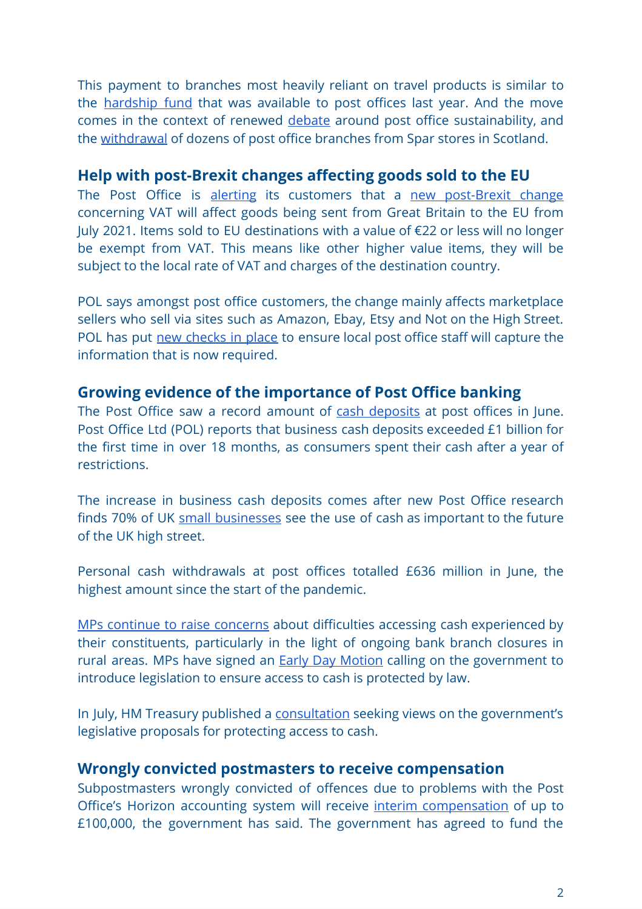This payment to branches most heavily reliant on travel products is similar to the [hardship](https://www.onepostoffice.co.uk/secure/covid-19-situation/post-office-hardship-scheme/) fund that was available to post offices last year. And the move comes in the context of renewed [debate](https://questions-statements.parliament.uk/written-questions/detail/2021-07-13/32432) around post office sustainability, and the [withdrawal](https://www.bbc.co.uk/news/uk-scotland-south-scotland-57412410) of dozens of post office branches from Spar stores in Scotland.

### **Help with post-Brexit changes affecting goods sold to the EU**

The Post Office is [alerting](https://www.mynewsdesk.com/uk/post-office/pressreleases/post-office-offers-customers-help-with-new-post-brexit-changes-affecting-good-being-sold-to-the-eu-3113629) its customers that a new [post-Brexit](https://www.gov.uk/government/publications/eu-e-commerce-package/eu-vat-e-commerce-package) change concerning VAT will affect goods being sent from Great Britain to the EU from July 2021. Items sold to EU destinations with a value of €22 or less will no longer be exempt from VAT. This means like other higher value items, they will be subject to the local rate of VAT and charges of the destination country.

POL says amongst post office customers, the change mainly affects marketplace sellers who sell via sites such as Amazon, Ebay, Etsy and Not on the High Street. POL has put new [checks](https://www.postoffice.co.uk/mail/selling-to-the-eu) in place to ensure local post office staff will capture the information that is now required.

# **Growing evidence of the importance of Post Office banking**

The Post Office saw a record amount of cash [deposits](https://corporate.postoffice.co.uk/our-media-centre#/pressreleases/record-amount-deposited-at-post-offices-in-june-business-cash-deposits-exceed-1-pounds-billion-for-first-time-in-over-18-months-as-consumers-spend-their-dot-dot-dot-3116503) at post offices in June. Post Office Ltd (POL) reports that business cash deposits exceeded £1 billion for the first time in over 18 months, as consumers spent their cash after a year of restrictions.

The increase in business cash deposits comes after new Post Office research finds 70% of UK small [businesses](https://corporate.postoffice.co.uk/our-media-centre#/pressreleases/save-our-cash-day-shines-light-on-eight-million-brits-reliant-on-cash-demonstrating-urgent-need-to-make-access-a-legal-right-3115872) see the use of cash as important to the future of the UK high street.

Personal cash withdrawals at post offices totalled £636 million in June, the highest amount since the start of the pandemic.

MPs continue to raise [concerns](https://hansard.parliament.uk/commons/2021-07-20/debates/6E970FE0-5901-416C-9EAD-B03E052C6DE8/RuralBankingServices) about difficulties accessing cash experienced by their constituents, particularly in the light of ongoing bank branch closures in rural areas. MPs have signed an Early Day [Motion](https://edm.parliament.uk/early-day-motion/58744) calling on the government to introduce legislation to ensure access to cash is protected by law.

In July, HM Treasury published a [consultation](https://www.gov.uk/government/consultations/access-to-cash-consultation) seeking views on the government's legislative proposals for protecting access to cash.

#### **Wrongly convicted postmasters to receive compensation**

Subpostmasters wrongly convicted of offences due to problems with the Post Office's Horizon accounting system will receive interim [compensation](https://www.gov.uk/government/news/government-to-fund-initial-compensation-package-for-vindicated-postmasters) of up to £100,000, the government has said. The government has agreed to fund the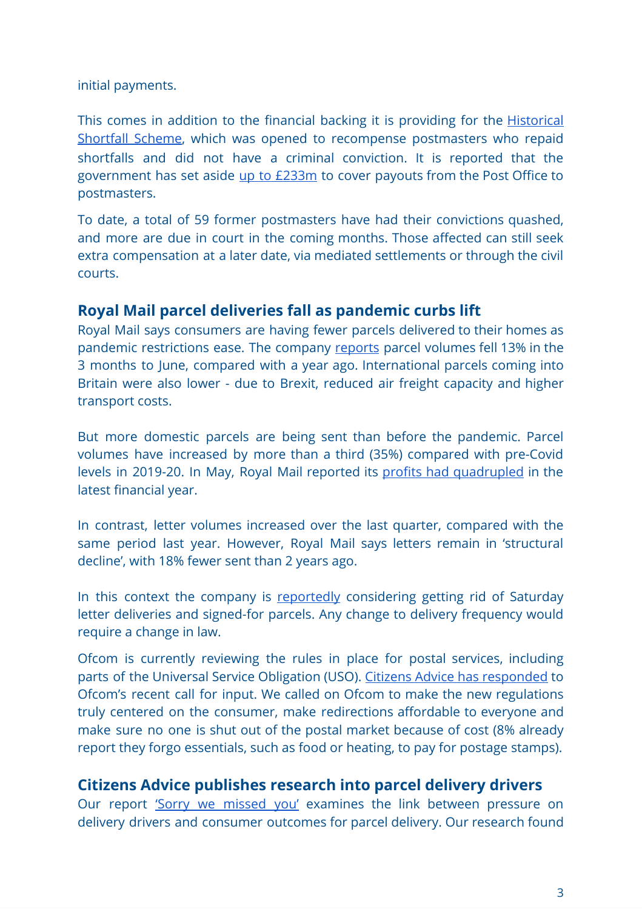initial payments.

This comes in addition to the financial backing it is providing for the **[Historical](https://hansard.parliament.uk/Commons/2021-03-18/debates/21031834000013/PostOfficeHorizonHistoricalShortfallScheme)** [Shortfall](https://hansard.parliament.uk/Commons/2021-03-18/debates/21031834000013/PostOfficeHorizonHistoricalShortfallScheme) Scheme, which was opened to recompense postmasters who repaid shortfalls and did not have a criminal conviction. It is reported that the government has set aside up to [£233m](https://www.theguardian.com/business/2021/jul/25/uk-government-sets-aside-up-to-233m-to-cover-post-office-payouts) to cover payouts from the Post Office to postmasters.

To date, a total of 59 former postmasters have had their convictions quashed, and more are due in court in the coming months. Those affected can still seek extra compensation at a later date, via mediated settlements or through the civil courts.

# **Royal Mail parcel deliveries fall as pandemic curbs lift**

Royal Mail says consumers are having fewer parcels delivered to their homes as pandemic restrictions ease. The company [reports](https://www.royalmailgroup.com/en/press-centre/press-releases/royal-mail-group/agm-trading-statement-for-the-three-months-ended-june-2021/) parcel volumes fell 13% in the 3 months to June, compared with a year ago. International parcels coming into Britain were also lower - due to Brexit, reduced air freight capacity and higher transport costs.

But more domestic parcels are being sent than before the pandemic. Parcel volumes have increased by more than a third (35%) compared with pre-Covid levels in 2019-20. In May, Royal Mail reported its profits had [quadrupled](https://www.theguardian.com/business/2021/may/20/royal-mail-posts-726m-profit-amid-pandemic-demand-for-parcels) in the latest financial year.

In contrast, letter volumes increased over the last quarter, compared with the same period last year. However, Royal Mail says letters remain in 'structural decline', with 18% fewer sent than 2 years ago.

In this context the company is [reportedly](https://www.dailymail.co.uk/news/article-9812063/Royal-Mail-plans-stamp-Saturday-letter-deliveries-signed-parcels.html) considering getting rid of Saturday letter deliveries and signed-for parcels. Any change to delivery frequency would require a change in law.

Ofcom is currently reviewing the rules in place for postal services, including parts of the Universal Service Obligation (USO). Citizens Advice has [responded](https://www.citizensadvice.org.uk/about-us/our-work/policy/policy-research-topics/post-policy-research-and-consultation-responses/post-consultation-responses/citizens-advice-response-to-ofcoms-call-for-inputs-review-of-postal-regulation/) to Ofcom's recent call for input. We called on Ofcom to make the new regulations truly centered on the consumer, make redirections affordable to everyone and make sure no one is shut out of the postal market because of cost (8% already report they forgo essentials, such as food or heating, to pay for postage stamps).

# **Citizens Advice publishes research into parcel delivery drivers**

Our report 'Sorry we [missed](https://www.citizensadvice.org.uk/Global/CitizensAdvice/Post%20and%20Telecoms/How%20pressure%20on%20delivery%20drivers%20impacts%20consumer%20outcomes%20for%20parcel%20delivery.pdf) you' examines the link between pressure on delivery drivers and consumer outcomes for parcel delivery. Our research found